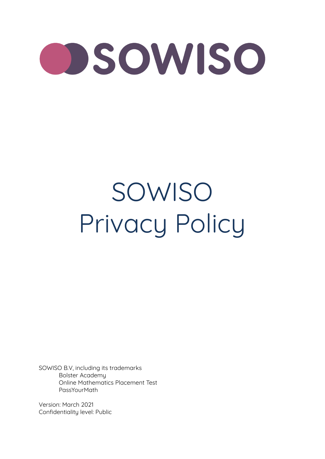# OSOWISO

## SOWISO Privacy Policy

SOWISO B.V, including its trademarks Bolster Academy Online Mathematics Placement Test PassYourMath

Version: March 2021 Confidentiality level: Public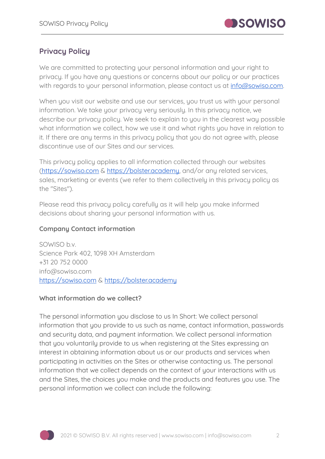

### **Privacy Policy**

We are committed to protecting your personal information and your right to privacy. If you have any questions or concerns about our policy or our practices with regards to your personal information, please contact us at  $info@sowiso.com$ .

When you visit our website and use our services, you trust us with your personal information. We take your privacy very seriously. In this privacy notice, we describe our privacu policy. We seek to explain to you in the clearest way possible what information we collect, how we use it and what rights you have in relation to it. If there are any terms in this privacy policy that you do not agree with, please discontinue use of our Sites and our services.

This privacu policu applies to all information collected through our websites [\(https://sowiso.com](https://sowiso.com) & [https://bolster.academy,](https://bolster.academy) and/or any related services, sales, marketing or events (we refer to them collectively in this privacy policy as the "Sites").

Please read this privacy policy carefully as it will help you make informed decisions about sharing your personal information with us.

#### **Company Contact information**

SOWISO b.v. Science Park 402, 1098 XH Amsterdam +31 20 752 0000 info@sowiso.com <https://sowiso.com> & <https://bolster.academy>

#### **What information do we collect?**

The personal information you disclose to us In Short: We collect personal information that you provide to us such as name, contact information, passwords and security data, and payment information. We collect personal information that you voluntarily provide to us when registering at the Sites expressing an interest in obtaining information about us or our products and services when participating in activities on the Sites or otherwise contacting us. The personal information that we collect depends on the context of your interactions with us and the Sites, the choices you make and the products and features you use. The personal information we collect can include the following:

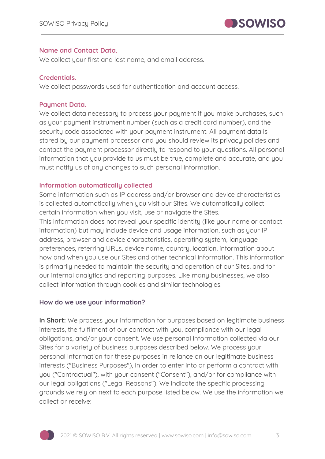

#### **Name and Contact Data.**

We collect your first and last name, and email address.

#### **Credentials.**

We collect passwords used for authentication and account access.

#### **Payment Data.**

We collect data necessary to process your payment if you make purchases, such as your payment instrument number (such as a credit card number), and the security code associated with your payment instrument. All payment data is stored by our payment processor and you should review its privacy policies and contact the payment processor directly to respond to your questions. All personal information that you provide to us must be true, complete and accurate, and you must notify us of any changes to such personal information.

#### **Information automatically collected**

Some information such as IP address and/or browser and device characteristics is collected automatically when you visit our Sites. We automatically collect certain information when you visit, use or navigate the Sites.

This information does not reveal your specific identity (like your name or contact information) but may include device and usage information, such as your IP address, browser and device characteristics, operating system, language preferences, referring URLs, device name, country, location, information about how and when you use our Sites and other technical information. This information is primarily needed to maintain the security and operation of our Sites, and for our internal analytics and reporting purposes. Like many businesses, we also collect information through cookies and similar technologies.

#### **How do we use your information?**

**In Short:** We process your information for purposes based on legitimate business interests, the fulfilment of our contract with you, compliance with our legal obligations, and/or your consent. We use personal information collected via our Sites for a variety of business purposes described below. We process your personal information for these purposes in reliance on our legitimate business interests ("Business Purposes"), in order to enter into or perform a contract with you ("Contractual"), with your consent ("Consent"), and/or for compliance with our legal obligations ("Legal Reasons"). We indicate the specific processing grounds we rely on next to each purpose listed below. We use the information we collect or receive:

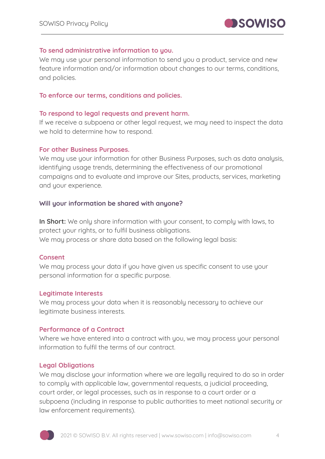

#### **To send administrative information to you.**

We may use your personal information to send you a product, service and new feature information and/or information about changes to our terms, conditions, and policies.

#### **To enforce our terms, conditions and policies.**

#### **To respond to legal requests and prevent harm.**

If we receive a subpoena or other legal request, we may need to inspect the data we hold to determine how to respond.

#### **For other Business Purposes.**

We may use your information for other Business Purposes, such as data analysis, identifying usage trends, determining the effectiveness of our promotional campaigns and to evaluate and improve our Sites, products, services, marketing and your experience.

#### **Will your information be shared with anyone?**

**In Short:** We only share information with your consent, to comply with laws, to protect your rights, or to fulfil business obligations. We may process or share data based on the following legal basis:

#### **Consent**

We may process your data if you have given us specific consent to use your personal information for a specific purpose.

#### **Legitimate Interests**

We may process your data when it is reasonably necessary to achieve our legitimate business interests.

#### **Performance of a Contract**

Where we have entered into a contract with you, we may process your personal information to fulfil the terms of our contract.

#### **Legal Obligations**

We may disclose your information where we are legally required to do so in order to comply with applicable law, governmental requests, a judicial proceeding, court order, or legal processes, such as in response to a court order or a subpoena (including in response to public authorities to meet national security or law enforcement requirements).

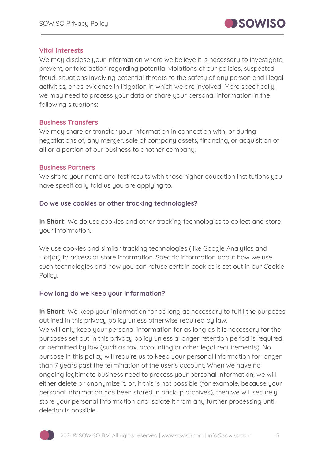

#### **Vital Interests**

We may disclose your information where we believe it is necessary to investigate. prevent, or take action regarding potential violations of our policies, suspected fraud, situations involving potential threats to the safety of any person and illegal activities, or as evidence in litigation in which we are involved. More specifically, we may need to process your data or share your personal information in the following situations:

#### **Business Transfers**

We may share or transfer your information in connection with, or during negotiations of, any merger, sale of company assets, financing, or acquisition of all or a portion of our business to another company.

#### **Business Partners**

We share your name and test results with those higher education institutions you have specifically told us you are applying to.

#### **Do we use cookies or other tracking technologies?**

**In Short:** We do use cookies and other tracking technologies to collect and store your information.

We use cookies and similar tracking technologies (like Google Analytics and Hotjar) to access or store information. Specific information about how we use such technologies and how you can refuse certain cookies is set out in our Cookie Policy.

#### **How long do we keep your information?**

**In Short:** We keep your information for as long as necessary to fulfil the purposes outlined in this privacy policy unless otherwise required by law. We will only keep your personal information for as long as it is necessary for the purposes set out in this privacy policy unless a longer retention period is required or permitted by law (such as tax, accounting or other legal requirements). No purpose in this policy will require us to keep your personal information for longer than 7 years past the termination of the user's account. When we have no ongoing legitimate business need to process your personal information, we will either delete or anonymize it, or, if this is not possible (for example, because your personal information has been stored in backup archives), then we will securely store your personal information and isolate it from any further processing until deletion is possible.

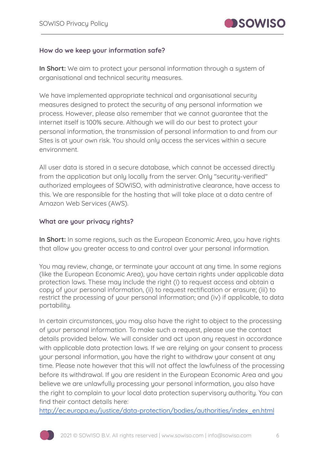

#### **How do we keep your information safe?**

**In Short:** We aim to protect your personal information through a system of organisational and technical security measures.

We have implemented appropriate technical and organisational security measures designed to protect the security of any personal information we process. However, please also remember that we cannot guarantee that the internet itself is 100% secure. Although we will do our best to protect your personal information, the transmission of personal information to and from our Sites is at your own risk. You should only access the services within a secure environment.

All user data is stored in a secure database, which cannot be accessed directly from the application but only locally from the server. Only "security-verified" authorized employees of SOWISO, with administrative clearance, have access to this. We are responsible for the hosting that will take place at a data centre of Amazon Web Services (AWS).

#### **What are your privacy rights?**

**In Short:** In some regions, such as the European Economic Area, you have rights that allow you greater access to and control over your personal information.

You may review, change, or terminate your account at any time. In some regions (like the European Economic Area), you have certain rights under applicable data protection laws. These may include the right (i) to request access and obtain a copy of your personal information, (ii) to request rectification or erasure; (iii) to restrict the processing of your personal information; and (iv) if applicable, to data portability.

In certain circumstances, you may also have the right to object to the processing of your personal information. To make such a request, please use the contact details provided below. We will consider and act upon any request in accordance with applicable data protection laws. If we are relying on your consent to process your personal information, you have the right to withdraw your consent at any time. Please note however that this will not affect the lawfulness of the processing before its withdrawal. If you are resident in the European Economic Area and you believe we are unlawfully processing your personal information, you also have the right to complain to your local data protection supervisory authority. You can find their contact details here:

[http://ec.europa.eu/justice/data-protection/bodies/authorities/index\\_en.html](http://ec.europa.eu/justice/data-protection/bodies/authorities/index_en.htmL)